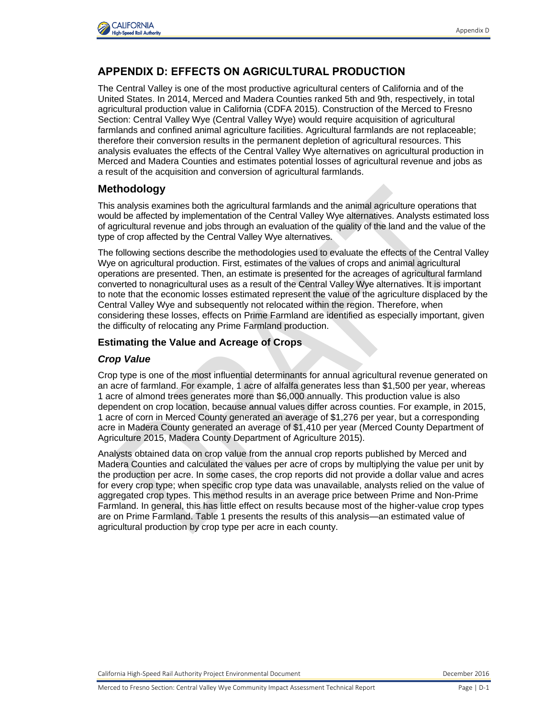

# **APPENDIX D: EFFECTS ON AGRICULTURAL PRODUCTION**

The Central Valley is one of the most productive agricultural centers of California and of the United States. In 2014, Merced and Madera Counties ranked 5th and 9th, respectively, in total agricultural production value in California (CDFA 2015). Construction of the Merced to Fresno Section: Central Valley Wye (Central Valley Wye) would require acquisition of agricultural farmlands and confined animal agriculture facilities. Agricultural farmlands are not replaceable; therefore their conversion results in the permanent depletion of agricultural resources. This analysis evaluates the effects of the Central Valley Wye alternatives on agricultural production in Merced and Madera Counties and estimates potential losses of agricultural revenue and jobs as a result of the acquisition and conversion of agricultural farmlands.

### **Methodology**

This analysis examines both the agricultural farmlands and the animal agriculture operations that would be affected by implementation of the Central Valley Wye alternatives. Analysts estimated loss of agricultural revenue and jobs through an evaluation of the quality of the land and the value of the type of crop affected by the Central Valley Wye alternatives.

The following sections describe the methodologies used to evaluate the effects of the Central Valley Wye on agricultural production. First, estimates of the values of crops and animal agricultural operations are presented. Then, an estimate is presented for the acreages of agricultural farmland converted to nonagricultural uses as a result of the Central Valley Wye alternatives. It is important to note that the economic losses estimated represent the value of the agriculture displaced by the Central Valley Wye and subsequently not relocated within the region. Therefore, when considering these losses, effects on Prime Farmland are identified as especially important, given the difficulty of relocating any Prime Farmland production.

#### **Estimating the Value and Acreage of Crops**

#### *Crop Value*

Crop type is one of the most influential determinants for annual agricultural revenue generated on an acre of farmland. For example, 1 acre of alfalfa generates less than \$1,500 per year, whereas 1 acre of almond trees generates more than \$6,000 annually. This production value is also dependent on crop location, because annual values differ across counties. For example, in 2015, 1 acre of corn in Merced County generated an average of \$1,276 per year, but a corresponding acre in Madera County generated an average of \$1,410 per year (Merced County Department of Agriculture 2015, Madera County Department of Agriculture 2015).

Analysts obtained data on crop value from the annual crop reports published by Merced and Madera Counties and calculated the values per acre of crops by multiplying the value per unit by the production per acre. In some cases, the crop reports did not provide a dollar value and acres for every crop type; when specific crop type data was unavailable, analysts relied on the value of aggregated crop types. This method results in an average price between Prime and Non-Prime Farmland. In general, this has little effect on results because most of the higher-value crop types are on Prime Farmland. Table 1 presents the results of this analysis—an estimated value of agricultural production by crop type per acre in each county.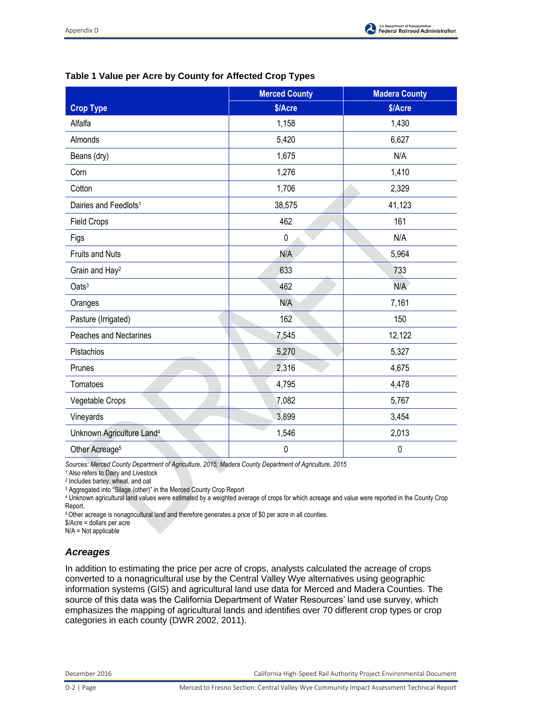

|  |  |  |  |  | Table 1 Value per Acre by County for Affected Crop Types |
|--|--|--|--|--|----------------------------------------------------------|
|--|--|--|--|--|----------------------------------------------------------|

|                                       | <b>Merced County</b> | <b>Madera County</b> |
|---------------------------------------|----------------------|----------------------|
| <b>Crop Type</b>                      | \$/Acre              | \$/Acre              |
| Alfalfa                               | 1,158                | 1,430                |
| Almonds                               | 5,420                | 6,627                |
| Beans (dry)                           | 1,675                | N/A                  |
| Corn                                  | 1,276                | 1,410                |
| Cotton                                | 1,706                | 2,329                |
| Dairies and Feedlots <sup>1</sup>     | 38,575               | 41,123               |
| <b>Field Crops</b>                    | 462                  | 161                  |
| Figs                                  | $\mathbf 0$          | N/A                  |
| <b>Fruits and Nuts</b>                | N/A                  | 5,964                |
| Grain and Hay <sup>2</sup>            | 633                  | 733                  |
| Oats <sup>3</sup>                     | 462                  | N/A                  |
| Oranges                               | N/A                  | 7,161                |
| Pasture (Irrigated)                   | 162                  | 150                  |
| <b>Peaches and Nectarines</b>         | 7,545                | 12,122               |
| Pistachios                            | 5,270                | 5,327                |
| Prunes                                | 2,316                | 4,675                |
| Tomatoes                              | 4,795                | 4,478                |
| Vegetable Crops                       | 7,082                | 5,767                |
| Vineyards                             | 3,899                | 3,454                |
| Unknown Agriculture Land <sup>4</sup> | 1,546                | 2,013                |
| Other Acreage <sup>5</sup>            | 0                    | 0                    |

*Sources: Merced County Department of Agriculture, 2015; Madera County Department of Agriculture, 2015* 

1 Also refers to Dairy and Livestock

2 Includes barley, wheat, and oat

<sup>3</sup> Aggregated into "Silage (other)" in the Merced County Crop Report

4 Unknown agricultural land values were estimated by a weighted average of crops for which acreage and value were reported in the County Crop Report.

<sup>5</sup>Other acreage is nonagricultural land and therefore generates a price of \$0 per acre in all counties.

\$/Acre = dollars per acre

N/A = Not applicable

## *Acreages*

In addition to estimating the price per acre of crops, analysts calculated the acreage of crops converted to a nonagricultural use by the Central Valley Wye alternatives using geographic information systems (GIS) and agricultural land use data for Merced and Madera Counties. The source of this data was the California Department of Water Resources' land use survey, which emphasizes the mapping of agricultural lands and identifies over 70 different crop types or crop categories in each county (DWR 2002, 2011).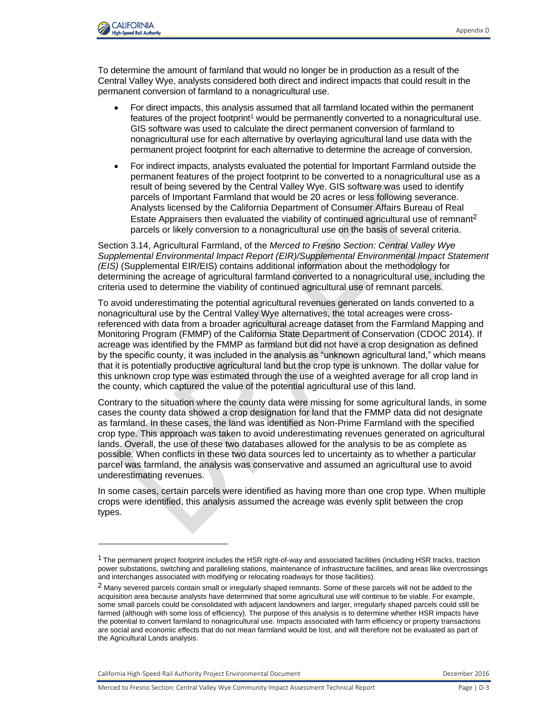

To determine the amount of farmland that would no longer be in production as a result of the Central Valley Wye, analysts considered both direct and indirect impacts that could result in the permanent conversion of farmland to a nonagricultural use.

- For direct impacts, this analysis assumed that all farmland located within the permanent features of the project footprint<sup>1</sup> would be permanently converted to a nonagricultural use. GIS software was used to calculate the direct permanent conversion of farmland to nonagricultural use for each alternative by overlaying agricultural land use data with the permanent project footprint for each alternative to determine the acreage of conversion.
- For indirect impacts, analysts evaluated the potential for Important Farmland outside the permanent features of the project footprint to be converted to a nonagricultural use as a result of being severed by the Central Valley Wye. GIS software was used to identify parcels of Important Farmland that would be 20 acres or less following severance. Analysts licensed by the California Department of Consumer Affairs Bureau of Real Estate Appraisers then evaluated the viability of continued agricultural use of remnant<sup>2</sup> parcels or likely conversion to a nonagricultural use on the basis of several criteria.

Section 3.14, Agricultural Farmland, of the *Merced to Fresno Section: Central Valley Wye Supplemental Environmental Impact Report (EIR)/Supplemental Environmental Impact Statement (EIS)* (Supplemental EIR/EIS) contains additional information about the methodology for determining the acreage of agricultural farmland converted to a nonagricultural use, including the criteria used to determine the viability of continued agricultural use of remnant parcels.

To avoid underestimating the potential agricultural revenues generated on lands converted to a nonagricultural use by the Central Valley Wye alternatives, the total acreages were crossreferenced with data from a broader agricultural acreage dataset from the Farmland Mapping and Monitoring Program (FMMP) of the California State Department of Conservation (CDOC 2014). If acreage was identified by the FMMP as farmland but did not have a crop designation as defined by the specific county, it was included in the analysis as "unknown agricultural land," which means that it is potentially productive agricultural land but the crop type is unknown. The dollar value for this unknown crop type was estimated through the use of a weighted average for all crop land in the county, which captured the value of the potential agricultural use of this land.

Contrary to the situation where the county data were missing for some agricultural lands, in some cases the county data showed a crop designation for land that the FMMP data did not designate as farmland. In these cases, the land was identified as Non-Prime Farmland with the specified crop type. This approach was taken to avoid underestimating revenues generated on agricultural lands. Overall, the use of these two databases allowed for the analysis to be as complete as possible. When conflicts in these two data sources led to uncertainty as to whether a particular parcel was farmland, the analysis was conservative and assumed an agricultural use to avoid underestimating revenues.

In some cases, certain parcels were identified as having more than one crop type. When multiple crops were identified, this analysis assumed the acreage was evenly split between the crop types.

California High-Speed Rail Authority Project Environmental Document **December 2016** December 2016

l

 $1$  The permanent project footprint includes the HSR right-of-way and associated facilities (including HSR tracks, traction power substations, switching and paralleling stations, maintenance of infrastructure facilities, and areas like overcrossings and interchanges associated with modifying or relocating roadways for those facilities).

<sup>&</sup>lt;sup>2</sup> Many severed parcels contain small or irregularly shaped remnants. Some of these parcels will not be added to the acquisition area because analysts have determined that some agricultural use will continue to be viable. For example, some small parcels could be consolidated with adjacent landowners and larger, irregularly shaped parcels could still be farmed (although with some loss of efficiency). The purpose of this analysis is to determine whether HSR impacts have the potential to convert farmland to nonagricultural use. Impacts associated with farm efficiency or property transactions are social and economic effects that do not mean farmland would be lost, and will therefore not be evaluated as part of the Agricultural Lands analysis.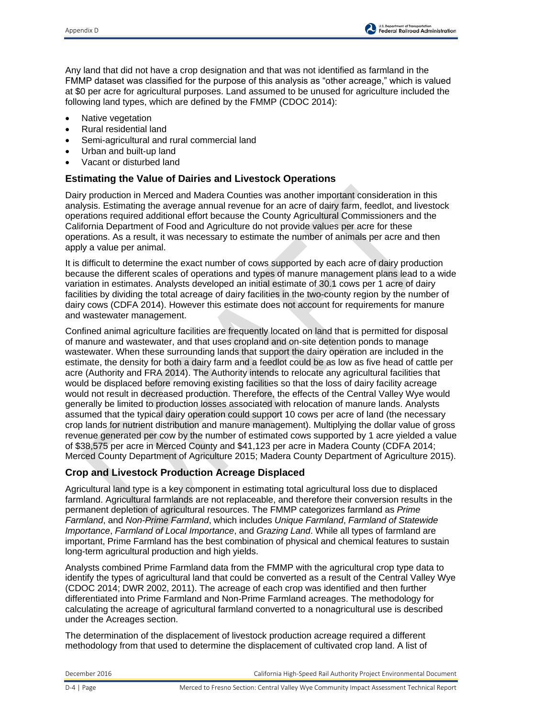

Any land that did not have a crop designation and that was not identified as farmland in the FMMP dataset was classified for the purpose of this analysis as "other acreage," which is valued at \$0 per acre for agricultural purposes. Land assumed to be unused for agriculture included the following land types, which are defined by the FMMP (CDOC 2014):

- Native vegetation
- Rural residential land
- Semi-agricultural and rural commercial land
- Urban and built-up land
- Vacant or disturbed land

### **Estimating the Value of Dairies and Livestock Operations**

Dairy production in Merced and Madera Counties was another important consideration in this analysis. Estimating the average annual revenue for an acre of dairy farm, feedlot, and livestock operations required additional effort because the County Agricultural Commissioners and the California Department of Food and Agriculture do not provide values per acre for these operations. As a result, it was necessary to estimate the number of animals per acre and then apply a value per animal.

It is difficult to determine the exact number of cows supported by each acre of dairy production because the different scales of operations and types of manure management plans lead to a wide variation in estimates. Analysts developed an initial estimate of 30.1 cows per 1 acre of dairy facilities by dividing the total acreage of dairy facilities in the two-county region by the number of dairy cows (CDFA 2014). However this estimate does not account for requirements for manure and wastewater management.

Confined animal agriculture facilities are frequently located on land that is permitted for disposal of manure and wastewater, and that uses cropland and on-site detention ponds to manage wastewater. When these surrounding lands that support the dairy operation are included in the estimate, the density for both a dairy farm and a feedlot could be as low as five head of cattle per acre (Authority and FRA 2014). The Authority intends to relocate any agricultural facilities that would be displaced before removing existing facilities so that the loss of dairy facility acreage would not result in decreased production. Therefore, the effects of the Central Valley Wye would generally be limited to production losses associated with relocation of manure lands. Analysts assumed that the typical dairy operation could support 10 cows per acre of land (the necessary crop lands for nutrient distribution and manure management). Multiplying the dollar value of gross revenue generated per cow by the number of estimated cows supported by 1 acre yielded a value of \$38,575 per acre in Merced County and \$41,123 per acre in Madera County (CDFA 2014; Merced County Department of Agriculture 2015; Madera County Department of Agriculture 2015).

### **Crop and Livestock Production Acreage Displaced**

Agricultural land type is a key component in estimating total agricultural loss due to displaced farmland. Agricultural farmlands are not replaceable, and therefore their conversion results in the permanent depletion of agricultural resources. The FMMP categorizes farmland as *Prime Farmland*, and *Non-Prime Farmland*, which includes *Unique Farmland*, *Farmland of Statewide Importance*, *Farmland of Local Importance*, and *Grazing Land*. While all types of farmland are important, Prime Farmland has the best combination of physical and chemical features to sustain long-term agricultural production and high yields.

Analysts combined Prime Farmland data from the FMMP with the agricultural crop type data to identify the types of agricultural land that could be converted as a result of the Central Valley Wye (CDOC 2014; DWR 2002, 2011). The acreage of each crop was identified and then further differentiated into Prime Farmland and Non-Prime Farmland acreages. The methodology for calculating the acreage of agricultural farmland converted to a nonagricultural use is described under the Acreages section.

The determination of the displacement of livestock production acreage required a different methodology from that used to determine the displacement of cultivated crop land. A list of

December 2016 California High-Speed Rail Authority Project Environmental Document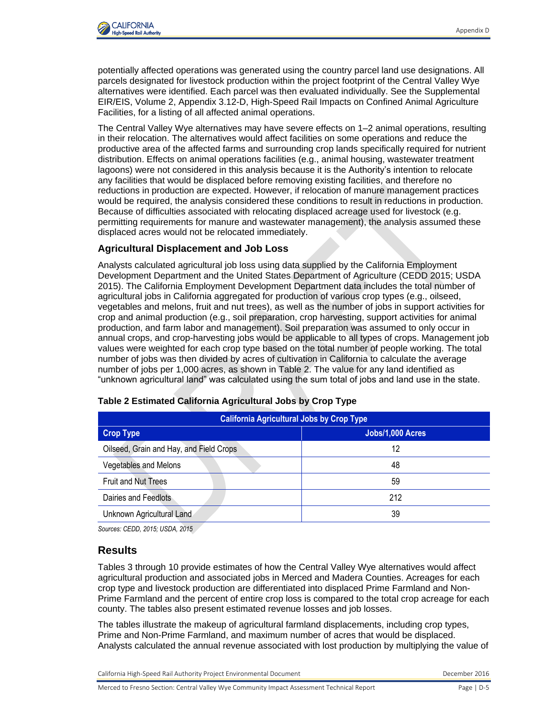

potentially affected operations was generated using the country parcel land use designations. All parcels designated for livestock production within the project footprint of the Central Valley Wye alternatives were identified. Each parcel was then evaluated individually. See the Supplemental EIR/EIS, Volume 2, Appendix 3.12-D, High-Speed Rail Impacts on Confined Animal Agriculture Facilities, for a listing of all affected animal operations.

The Central Valley Wye alternatives may have severe effects on 1–2 animal operations, resulting in their relocation. The alternatives would affect facilities on some operations and reduce the productive area of the affected farms and surrounding crop lands specifically required for nutrient distribution. Effects on animal operations facilities (e.g., animal housing, wastewater treatment lagoons) were not considered in this analysis because it is the Authority's intention to relocate any facilities that would be displaced before removing existing facilities, and therefore no reductions in production are expected. However, if relocation of manure management practices would be required, the analysis considered these conditions to result in reductions in production. Because of difficulties associated with relocating displaced acreage used for livestock (e.g. permitting requirements for manure and wastewater management), the analysis assumed these displaced acres would not be relocated immediately.

#### **Agricultural Displacement and Job Loss**

Analysts calculated agricultural job loss using data supplied by the California Employment Development Department and the United States Department of Agriculture (CEDD 2015; USDA 2015). The California Employment Development Department data includes the total number of agricultural jobs in California aggregated for production of various crop types (e.g., oilseed, vegetables and melons, fruit and nut trees), as well as the number of jobs in support activities for crop and animal production (e.g., soil preparation, crop harvesting, support activities for animal production, and farm labor and management). Soil preparation was assumed to only occur in annual crops, and crop-harvesting jobs would be applicable to all types of crops. Management job values were weighted for each crop type based on the total number of people working. The total number of jobs was then divided by acres of cultivation in California to calculate the average number of jobs per 1,000 acres, as shown in Table 2. The value for any land identified as "unknown agricultural land" was calculated using the sum total of jobs and land use in the state.

| <b>California Agricultural Jobs by Crop Type</b> |                  |  |  |  |  |  |
|--------------------------------------------------|------------------|--|--|--|--|--|
| <b>Crop Type</b>                                 | Jobs/1,000 Acres |  |  |  |  |  |
| Oilseed, Grain and Hay, and Field Crops          | 12               |  |  |  |  |  |
| Vegetables and Melons                            | 48               |  |  |  |  |  |
| <b>Fruit and Nut Trees</b>                       | 59               |  |  |  |  |  |
| Dairies and Feedlots                             | 212              |  |  |  |  |  |
| Unknown Agricultural Land                        | 39               |  |  |  |  |  |

#### **Table 2 Estimated California Agricultural Jobs by Crop Type**

*Sources: CEDD, 2015; USDA, 2015* 

### **Results**

Tables 3 through 10 provide estimates of how the Central Valley Wye alternatives would affect agricultural production and associated jobs in Merced and Madera Counties. Acreages for each crop type and livestock production are differentiated into displaced Prime Farmland and Non-Prime Farmland and the percent of entire crop loss is compared to the total crop acreage for each county. The tables also present estimated revenue losses and job losses.

The tables illustrate the makeup of agricultural farmland displacements, including crop types, Prime and Non-Prime Farmland, and maximum number of acres that would be displaced. Analysts calculated the annual revenue associated with lost production by multiplying the value of

California High-Speed Rail Authority Project Environmental Document **December 2016** December 2016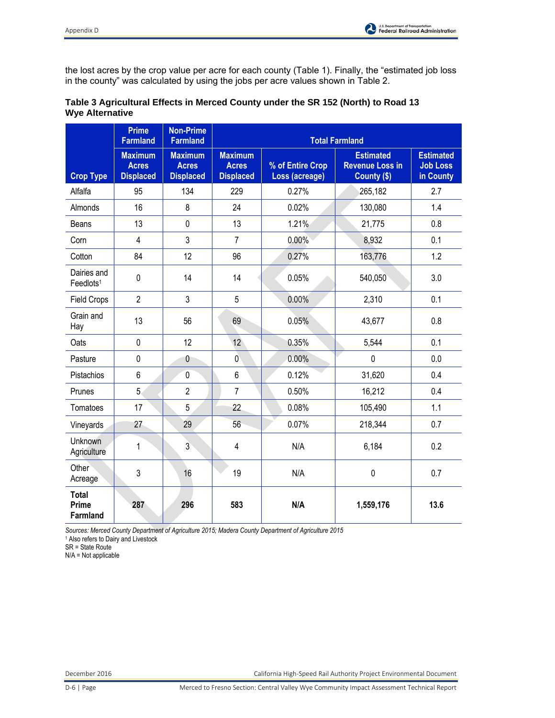

the lost acres by the crop value per acre for each county (Table 1). Finally, the "estimated job loss in the county" was calculated by using the jobs per acre values shown in Table 2.

|                                          | <b>Prime</b><br><b>Farmland</b>                    | <b>Non-Prime</b><br><b>Farmland</b>                |                                                    |                                    | <b>Total Farmland</b>                                     |                                                  |
|------------------------------------------|----------------------------------------------------|----------------------------------------------------|----------------------------------------------------|------------------------------------|-----------------------------------------------------------|--------------------------------------------------|
| <b>Crop Type</b>                         | <b>Maximum</b><br><b>Acres</b><br><b>Displaced</b> | <b>Maximum</b><br><b>Acres</b><br><b>Displaced</b> | <b>Maximum</b><br><b>Acres</b><br><b>Displaced</b> | % of Entire Crop<br>Loss (acreage) | <b>Estimated</b><br><b>Revenue Loss in</b><br>County (\$) | <b>Estimated</b><br><b>Job Loss</b><br>in County |
| Alfalfa                                  | 95                                                 | 134                                                | 229                                                | 0.27%                              | 265,182                                                   | 2.7                                              |
| Almonds                                  | 16                                                 | 8                                                  | 24                                                 | 0.02%                              | 130,080                                                   | 1.4                                              |
| Beans                                    | 13                                                 | $\pmb{0}$                                          | 13                                                 | 1.21%                              | 21,775                                                    | 0.8                                              |
| Corn                                     | 4                                                  | 3                                                  | $\overline{7}$                                     | 0.00%                              | 8,932                                                     | 0.1                                              |
| Cotton                                   | 84                                                 | 12                                                 | 96                                                 | 0.27%                              | 163,776                                                   | 1.2                                              |
| Dairies and<br>Feedlots <sup>1</sup>     | $\pmb{0}$                                          | 14                                                 | 14                                                 | 0.05%                              | 540,050                                                   | 3.0                                              |
| <b>Field Crops</b>                       | $\overline{2}$                                     | 3                                                  | 5                                                  | 0.00%                              | 2,310                                                     | 0.1                                              |
| Grain and<br>Hay                         | 13                                                 | 56                                                 | 69                                                 | 0.05%                              | 43,677                                                    | 0.8                                              |
| Oats                                     | $\pmb{0}$                                          | 12                                                 | 12                                                 | 0.35%                              | 5,544                                                     | 0.1                                              |
| Pasture                                  | $\mathbf 0$                                        | 0                                                  | $\mathbf 0$                                        | 0.00%                              | $\pmb{0}$                                                 | 0.0                                              |
| Pistachios                               | $6\phantom{1}$                                     | $\overline{0}$                                     | $6\phantom{1}$                                     | 0.12%                              | 31,620                                                    | 0.4                                              |
| Prunes                                   | 5                                                  | $\overline{2}$                                     | $\overline{7}$                                     | 0.50%                              | 16,212                                                    | 0.4                                              |
| Tomatoes                                 | 17                                                 | 5                                                  | 22                                                 | 0.08%                              | 105,490                                                   | 1.1                                              |
| Vineyards                                | 27                                                 | 29                                                 | 56                                                 | 0.07%                              | 218,344                                                   | 0.7                                              |
| Unknown<br>Agriculture                   | 1                                                  | $\overline{3}$                                     | $\overline{4}$                                     | N/A                                | 6,184                                                     | 0.2                                              |
| Other<br>Acreage                         | 3                                                  | 16                                                 | 19                                                 | N/A                                | $\pmb{0}$                                                 | 0.7                                              |
| <b>Total</b><br>Prime<br><b>Farmland</b> | 287                                                | 296                                                | 583                                                | N/A                                | 1,559,176                                                 | 13.6                                             |

## **Table 3 Agricultural Effects in Merced County under the SR 152 (North) to Road 13 Wye Alternative**

*Sources: Merced County Department of Agriculture 2015; Madera County Department of Agriculture 2015* 

1 Also refers to Dairy and Livestock

SR = State Route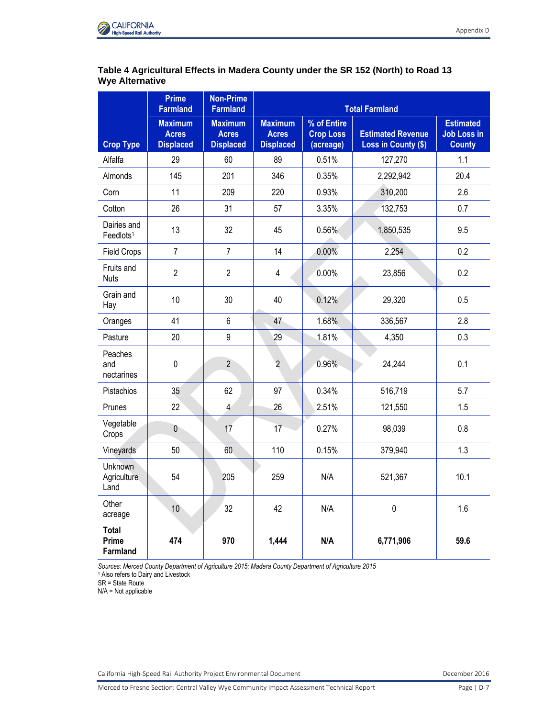

## **Table 4 Agricultural Effects in Madera County under the SR 152 (North) to Road 13 Wye Alternative**

|                                       | <b>Prime</b><br><b>Farmland</b>                    | <b>Non-Prime</b><br><b>Farmland</b>                |                                                    |                                              | <b>Total Farmland</b>                           |                                                         |
|---------------------------------------|----------------------------------------------------|----------------------------------------------------|----------------------------------------------------|----------------------------------------------|-------------------------------------------------|---------------------------------------------------------|
| <b>Crop Type</b>                      | <b>Maximum</b><br><b>Acres</b><br><b>Displaced</b> | <b>Maximum</b><br><b>Acres</b><br><b>Displaced</b> | <b>Maximum</b><br><b>Acres</b><br><b>Displaced</b> | % of Entire<br><b>Crop Loss</b><br>(acreage) | <b>Estimated Revenue</b><br>Loss in County (\$) | <b>Estimated</b><br><b>Job Loss in</b><br><b>County</b> |
| Alfalfa                               | 29                                                 | 60                                                 | 89                                                 | 0.51%                                        | 127,270                                         | 1.1                                                     |
| Almonds                               | 145                                                | 201                                                | 346                                                | 0.35%                                        | 2,292,942                                       | 20.4                                                    |
| Corn                                  | 11                                                 | 209                                                | 220                                                | 0.93%                                        | 310,200                                         | 2.6                                                     |
| Cotton                                | 26                                                 | 31                                                 | 57                                                 | 3.35%                                        | 132,753                                         | 0.7                                                     |
| Dairies and<br>Feedlots <sup>1</sup>  | 13                                                 | 32                                                 | 45                                                 | 0.56%                                        | 1,850,535                                       | 9.5                                                     |
| <b>Field Crops</b>                    | $\overline{7}$                                     | $\overline{7}$                                     | 14                                                 | 0.00%                                        | 2,254                                           | 0.2                                                     |
| Fruits and<br><b>Nuts</b>             | $\overline{2}$                                     | $\overline{2}$                                     | $\overline{\mathbf{4}}$                            | 0.00%                                        | 23,856                                          | 0.2                                                     |
| Grain and<br>Hay                      | 10                                                 | 30                                                 | 40                                                 | 0.12%                                        | 29,320                                          | 0.5                                                     |
| Oranges                               | 41                                                 | 6                                                  | 47                                                 | 1.68%                                        | 336,567                                         | 2.8                                                     |
| Pasture                               | 20                                                 | 9                                                  | 29                                                 | 1.81%                                        | 4,350                                           | 0.3                                                     |
| Peaches<br>and<br>nectarines          | $\mathbf 0$                                        | $\overline{2}$                                     | $\overline{2}$                                     | 0.96%                                        | 24,244                                          | 0.1                                                     |
| Pistachios                            | 35                                                 | 62                                                 | 97                                                 | 0.34%                                        | 516,719                                         | 5.7                                                     |
| Prunes                                | 22                                                 | $\overline{4}$                                     | 26                                                 | 2.51%                                        | 121,550                                         | 1.5                                                     |
| Vegetable<br>Crops                    | $\bf 0$                                            | 17                                                 | 17                                                 | 0.27%                                        | 98,039                                          | 0.8                                                     |
| Vineyards                             | 50                                                 | 60                                                 | 110                                                | 0.15%                                        | 379,940                                         | 1.3                                                     |
| Unknown<br><b>Agriculture</b><br>Land | 54                                                 | 205                                                | 259                                                | N/A                                          | 521,367                                         | 10.1                                                    |
| Other<br>acreage                      | 10                                                 | 32                                                 | 42                                                 | N/A                                          | $\pmb{0}$                                       | 1.6                                                     |
| <b>Total</b><br>Prime<br>Farmland     | 474                                                | 970                                                | 1,444                                              | N/A                                          | 6,771,906                                       | 59.6                                                    |

*Sources: Merced County Department of Agriculture 2015; Madera County Department of Agriculture 2015* 

1 Also refers to Dairy and Livestock

SR = State Route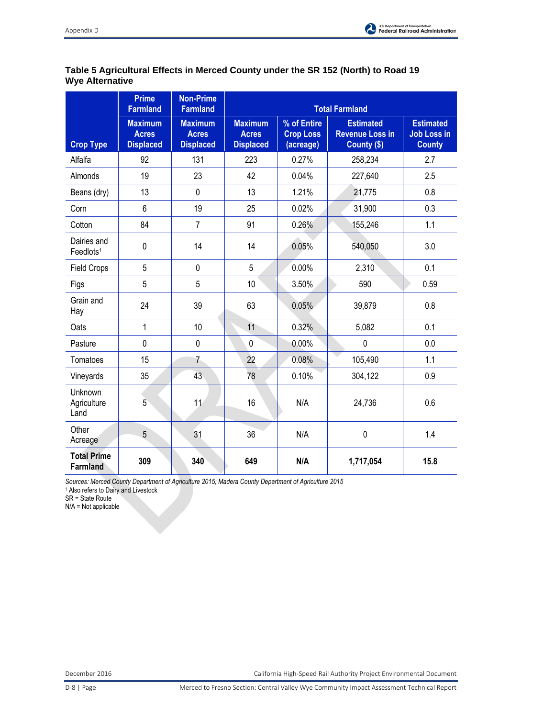

# **Table 5 Agricultural Effects in Merced County under the SR 152 (North) to Road 19 Wye Alternative**

|                                       | <b>Prime</b><br><b>Farmland</b>                    | <b>Non-Prime</b><br><b>Farmland</b>                |                                                    |                                              | <b>Total Farmland</b>                                     |                                                         |
|---------------------------------------|----------------------------------------------------|----------------------------------------------------|----------------------------------------------------|----------------------------------------------|-----------------------------------------------------------|---------------------------------------------------------|
| <b>Crop Type</b>                      | <b>Maximum</b><br><b>Acres</b><br><b>Displaced</b> | <b>Maximum</b><br><b>Acres</b><br><b>Displaced</b> | <b>Maximum</b><br><b>Acres</b><br><b>Displaced</b> | % of Entire<br><b>Crop Loss</b><br>(acreage) | <b>Estimated</b><br><b>Revenue Loss in</b><br>County (\$) | <b>Estimated</b><br><b>Job Loss in</b><br><b>County</b> |
| Alfalfa                               | 92                                                 | 131                                                | 223                                                | 0.27%                                        | 258,234                                                   | 2.7                                                     |
| Almonds                               | 19                                                 | 23                                                 | 42                                                 | 0.04%                                        | 227,640                                                   | 2.5                                                     |
| Beans (dry)                           | 13                                                 | $\mathbf 0$                                        | 13                                                 | 1.21%                                        | 21,775                                                    | 0.8                                                     |
| Corn                                  | 6                                                  | 19                                                 | 25                                                 | 0.02%                                        | 31,900                                                    | 0.3                                                     |
| Cotton                                | 84                                                 | $\overline{7}$                                     | 91                                                 | 0.26%                                        | 155,246                                                   | 1.1                                                     |
| Dairies and<br>Feedlots <sup>1</sup>  | $\mathbf 0$                                        | 14                                                 | 14                                                 | 0.05%                                        | 540,050                                                   | 3.0                                                     |
| <b>Field Crops</b>                    | 5                                                  | $\mathbf 0$                                        | 5                                                  | 0.00%                                        | 2,310                                                     | 0.1                                                     |
| Figs                                  | 5                                                  | 5                                                  | 10                                                 | 3.50%                                        | 590                                                       | 0.59                                                    |
| Grain and<br>Hay                      | 24                                                 | 39                                                 | 63                                                 | 0.05%                                        | 39,879                                                    | 0.8                                                     |
| Oats                                  | $\mathbf{1}$                                       | 10                                                 | 11                                                 | 0.32%                                        | 5,082                                                     | 0.1                                                     |
| Pasture                               | $\mathbf{0}$                                       | $\mathbf 0$                                        | $\mathbf 0$                                        | 0.00%                                        | $\mathbf 0$                                               | 0.0                                                     |
| Tomatoes                              | 15                                                 | $\overline{7}$                                     | 22                                                 | 0.08%                                        | 105,490                                                   | 1.1                                                     |
| Vineyards                             | 35                                                 | 43                                                 | 78                                                 | 0.10%                                        | 304,122                                                   | 0.9                                                     |
| <b>Unknown</b><br>Agriculture<br>Land | 5                                                  | 11                                                 | 16                                                 | N/A                                          | 24,736                                                    | 0.6                                                     |
| Other<br>Acreage                      | 5                                                  | 31                                                 | 36                                                 | N/A                                          | $\pmb{0}$                                                 | 1.4                                                     |
| <b>Total Prime</b><br><b>Farmland</b> | 309                                                | 340                                                | 649                                                | N/A                                          | 1,717,054                                                 | 15.8                                                    |

*Sources: Merced County Department of Agriculture 2015; Madera County Department of Agriculture 2015*  1 Also refers to Dairy and Livestock

SR = State Route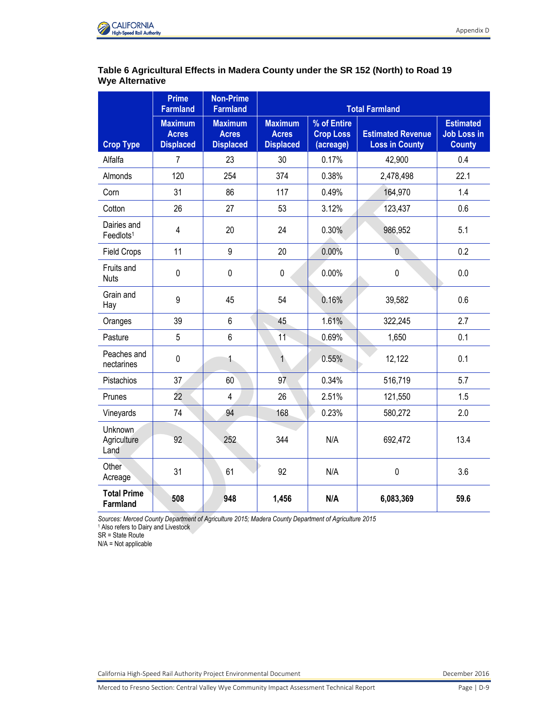

## **Table 6 Agricultural Effects in Madera County under the SR 152 (North) to Road 19 Wye Alternative**

|                                      | <b>Prime</b><br><b>Farmland</b>                    | <b>Non-Prime</b><br><b>Farmland</b>                | <b>Total Farmland</b>                              |                                              |                                                   |                                                         |
|--------------------------------------|----------------------------------------------------|----------------------------------------------------|----------------------------------------------------|----------------------------------------------|---------------------------------------------------|---------------------------------------------------------|
| <b>Crop Type</b>                     | <b>Maximum</b><br><b>Acres</b><br><b>Displaced</b> | <b>Maximum</b><br><b>Acres</b><br><b>Displaced</b> | <b>Maximum</b><br><b>Acres</b><br><b>Displaced</b> | % of Entire<br><b>Crop Loss</b><br>(acreage) | <b>Estimated Revenue</b><br><b>Loss in County</b> | <b>Estimated</b><br><b>Job Loss in</b><br><b>County</b> |
| Alfalfa                              | $\overline{7}$                                     | 23                                                 | 30                                                 | 0.17%                                        | 42,900                                            | 0.4                                                     |
| Almonds                              | 120                                                | 254                                                | 374                                                | 0.38%                                        | 2,478,498                                         | 22.1                                                    |
| Corn                                 | 31                                                 | 86                                                 | 117                                                | 0.49%                                        | 164,970                                           | 1.4                                                     |
| Cotton                               | 26                                                 | 27                                                 | 53                                                 | 3.12%                                        | 123,437                                           | 0.6                                                     |
| Dairies and<br>Feedlots <sup>1</sup> | $\overline{\mathbf{4}}$                            | 20                                                 | 24                                                 | 0.30%                                        | 986,952                                           | 5.1                                                     |
| <b>Field Crops</b>                   | 11                                                 | 9                                                  | 20                                                 | 0.00%                                        | $\overline{0}$                                    | 0.2                                                     |
| Fruits and<br><b>Nuts</b>            | $\pmb{0}$                                          | 0                                                  | $\mathbf 0$                                        | 0.00%                                        | $\mathbf 0$                                       | 0.0                                                     |
| Grain and<br>Hay                     | 9                                                  | 45                                                 | 54                                                 | 0.16%                                        | 39,582                                            | 0.6                                                     |
| Oranges                              | 39                                                 | 6                                                  | 45                                                 | 1.61%                                        | 322,245                                           | 2.7                                                     |
| Pasture                              | 5                                                  | 6                                                  | 11                                                 | 0.69%                                        | 1,650                                             | 0.1                                                     |
| Peaches and<br>nectarines            | $\pmb{0}$                                          | 1                                                  | $\mathbf{1}$                                       | 0.55%                                        | 12,122                                            | 0.1                                                     |
| Pistachios                           | 37                                                 | 60                                                 | 97                                                 | 0.34%                                        | 516,719                                           | 5.7                                                     |
| Prunes                               | 22                                                 | 4                                                  | 26                                                 | 2.51%                                        | 121,550                                           | 1.5                                                     |
| Vineyards                            | 74                                                 | 94                                                 | 168                                                | 0.23%                                        | 580,272                                           | 2.0                                                     |
| Unknown<br>Agriculture<br>Land       | 92                                                 | 252                                                | 344                                                | N/A                                          | 692,472                                           | 13.4                                                    |
| Other<br>Acreage                     | 31                                                 | 61                                                 | 92                                                 | N/A                                          | $\pmb{0}$                                         | 3.6                                                     |
| <b>Total Prime</b><br>Farmland       | 508                                                | 948                                                | 1,456                                              | N/A                                          | 6,083,369                                         | 59.6                                                    |

*Sources: Merced County Department of Agriculture 2015; Madera County Department of Agriculture 2015* 

1 Also refers to Dairy and Livestock

SR = State Route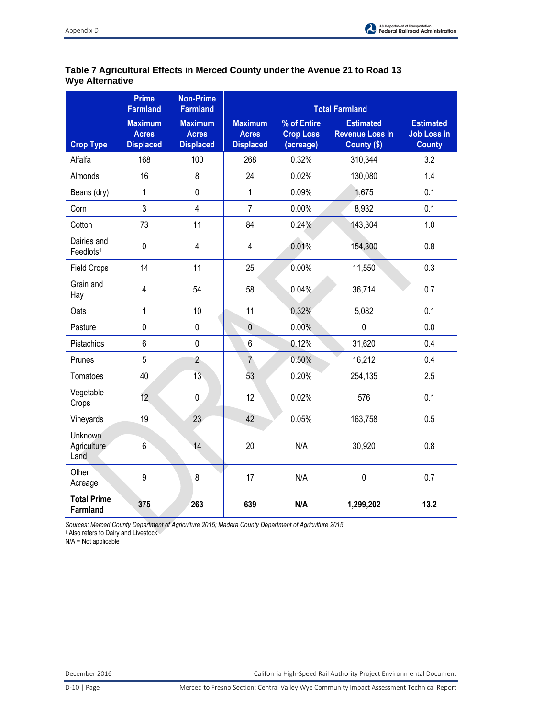

# **Table 7 Agricultural Effects in Merced County under the Avenue 21 to Road 13 Wye Alternative**

|                                       | <b>Prime</b><br><b>Farmland</b>                    | <b>Non-Prime</b><br><b>Farmland</b>                | <b>Total Farmland</b>                              |                                              |                                                           |                                                         |
|---------------------------------------|----------------------------------------------------|----------------------------------------------------|----------------------------------------------------|----------------------------------------------|-----------------------------------------------------------|---------------------------------------------------------|
| <b>Crop Type</b>                      | <b>Maximum</b><br><b>Acres</b><br><b>Displaced</b> | <b>Maximum</b><br><b>Acres</b><br><b>Displaced</b> | <b>Maximum</b><br><b>Acres</b><br><b>Displaced</b> | % of Entire<br><b>Crop Loss</b><br>(acreage) | <b>Estimated</b><br><b>Revenue Loss in</b><br>County (\$) | <b>Estimated</b><br><b>Job Loss in</b><br><b>County</b> |
| Alfalfa                               | 168                                                | 100                                                | 268                                                | 0.32%                                        | 310,344                                                   | 3.2                                                     |
| Almonds                               | 16                                                 | 8                                                  | 24                                                 | 0.02%                                        | 130,080                                                   | 1.4                                                     |
| Beans (dry)                           | $\mathbf{1}$                                       | $\mathbf{0}$                                       | $\mathbf{1}$                                       | 0.09%                                        | 1,675                                                     | 0.1                                                     |
| Corn                                  | 3                                                  | $\overline{4}$                                     | $\overline{7}$                                     | 0.00%                                        | 8,932                                                     | 0.1                                                     |
| Cotton                                | 73                                                 | 11                                                 | 84                                                 | 0.24%                                        | 143,304                                                   | 1.0                                                     |
| Dairies and<br>Feedlots <sup>1</sup>  | $\mathbf 0$                                        | $\overline{4}$                                     | $\overline{4}$                                     | 0.01%                                        | 154,300                                                   | 0.8                                                     |
| <b>Field Crops</b>                    | 14                                                 | 11                                                 | 25                                                 | 0.00%                                        | 11,550                                                    | 0.3                                                     |
| Grain and<br>Hay                      | 4                                                  | 54                                                 | 58                                                 | 0.04%                                        | 36,714                                                    | 0.7                                                     |
| Oats                                  | $\mathbf{1}$                                       | 10                                                 | 11                                                 | 0.32%                                        | 5,082                                                     | 0.1                                                     |
| Pasture                               | 0                                                  | 0                                                  | $\mathbf 0$                                        | 0.00%                                        | 0                                                         | 0.0                                                     |
| Pistachios                            | 6                                                  | $\mathbf 0$                                        | 6                                                  | 0.12%                                        | 31,620                                                    | 0.4                                                     |
| Prunes                                | 5                                                  | $\overline{2}$                                     | $\overline{7}$                                     | 0.50%                                        | 16,212                                                    | 0.4                                                     |
| Tomatoes                              | 40                                                 | 13                                                 | 53                                                 | 0.20%                                        | 254,135                                                   | 2.5                                                     |
| Vegetable<br>Crops                    | 12                                                 | 0                                                  | 12                                                 | 0.02%                                        | 576                                                       | 0.1                                                     |
| Vineyards                             | 19                                                 | 23                                                 | 42                                                 | 0.05%                                        | 163,758                                                   | 0.5                                                     |
| <b>Unknown</b><br>Agriculture<br>Land | 6 <sup>2</sup>                                     | 14                                                 | 20                                                 | N/A                                          | 30,920                                                    | 0.8                                                     |
| Other<br>Acreage                      | 9                                                  | 8                                                  | 17                                                 | N/A                                          | $\pmb{0}$                                                 | 0.7                                                     |
| <b>Total Prime</b><br>Farmland        | 375                                                | 263                                                | 639                                                | N/A                                          | 1,299,202                                                 | 13.2                                                    |

*Sources: Merced County Department of Agriculture 2015; Madera County Department of Agriculture 2015* 

1 Also refers to Dairy and Livestock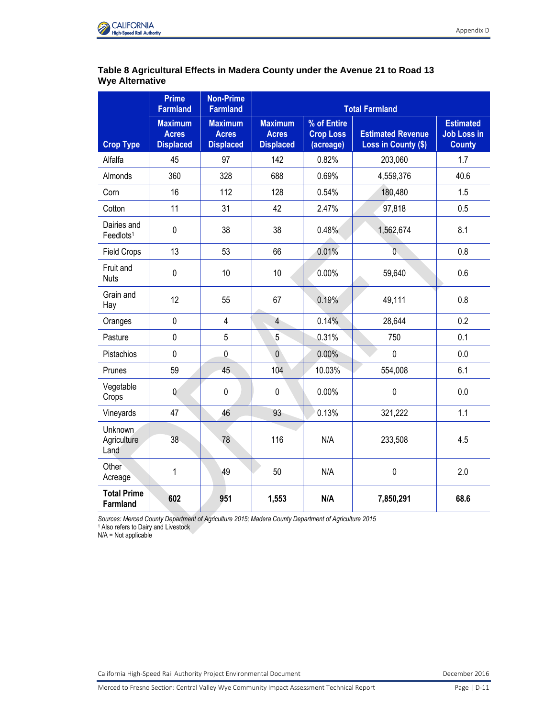

## **Table 8 Agricultural Effects in Madera County under the Avenue 21 to Road 13 Wye Alternative**

|                                       | <b>Prime</b><br><b>Farmland</b>                    | <b>Non-Prime</b><br><b>Farmland</b>                | <b>Total Farmland</b>                              |                                              |                                                 |                                                         |
|---------------------------------------|----------------------------------------------------|----------------------------------------------------|----------------------------------------------------|----------------------------------------------|-------------------------------------------------|---------------------------------------------------------|
| <b>Crop Type</b>                      | <b>Maximum</b><br><b>Acres</b><br><b>Displaced</b> | <b>Maximum</b><br><b>Acres</b><br><b>Displaced</b> | <b>Maximum</b><br><b>Acres</b><br><b>Displaced</b> | % of Entire<br><b>Crop Loss</b><br>(acreage) | <b>Estimated Revenue</b><br>Loss in County (\$) | <b>Estimated</b><br><b>Job Loss in</b><br><b>County</b> |
| Alfalfa                               | 45                                                 | 97                                                 | 142                                                | 0.82%                                        | 203,060                                         | 1.7                                                     |
| Almonds                               | 360                                                | 328                                                | 688                                                | 0.69%                                        | 4,559,376                                       | 40.6                                                    |
| Corn                                  | 16                                                 | 112                                                | 128                                                | 0.54%                                        | 180,480                                         | 1.5                                                     |
| Cotton                                | 11                                                 | 31                                                 | 42                                                 | 2.47%                                        | 97,818                                          | 0.5                                                     |
| Dairies and<br>Feedlots <sup>1</sup>  | $\mathbf 0$                                        | 38                                                 | 38                                                 | 0.48%                                        | 1,562,674                                       | 8.1                                                     |
| <b>Field Crops</b>                    | 13                                                 | 53                                                 | 66                                                 | 0.01%                                        | $\overline{0}$                                  | 0.8                                                     |
| Fruit and<br><b>Nuts</b>              | $\mathbf 0$                                        | 10                                                 | 10                                                 | 0.00%                                        | 59,640                                          | 0.6                                                     |
| Grain and<br>Hay                      | 12                                                 | 55                                                 | 67                                                 | 0.19%                                        | 49,111                                          | 0.8                                                     |
| Oranges                               | $\pmb{0}$                                          | $\overline{4}$                                     | $\overline{4}$                                     | 0.14%                                        | 28,644                                          | 0.2                                                     |
| Pasture                               | $\mathbf 0$                                        | 5                                                  | 5                                                  | 0.31%                                        | 750                                             | 0.1                                                     |
| Pistachios                            | $\mathbf 0$                                        | $\pmb{0}$                                          | $\overline{0}$                                     | 0.00%                                        | $\mathbf 0$                                     | 0.0                                                     |
| Prunes                                | 59                                                 | 45                                                 | 104                                                | 10.03%                                       | 554,008                                         | 6.1                                                     |
| Vegetable<br>Crops                    | $\mathbf 0$                                        | 0                                                  | 0                                                  | 0.00%                                        | $\mathbf 0$                                     | 0.0                                                     |
| Vineyards                             | 47                                                 | 46                                                 | 93                                                 | 0.13%                                        | 321,222                                         | 1.1                                                     |
| Unknown<br>Agriculture<br>Land        | 38                                                 | 78                                                 | 116                                                | N/A                                          | 233,508                                         | 4.5                                                     |
| Other<br>Acreage                      | $\mathbf{1}$                                       | 49                                                 | 50                                                 | N/A                                          | $\pmb{0}$                                       | 2.0                                                     |
| <b>Total Prime</b><br><b>Farmland</b> | 602                                                | 951                                                | 1,553                                              | N/A                                          | 7,850,291                                       | 68.6                                                    |

*Sources: Merced County Department of Agriculture 2015; Madera County Department of Agriculture 2015* 

1 Also refers to Dairy and Livestock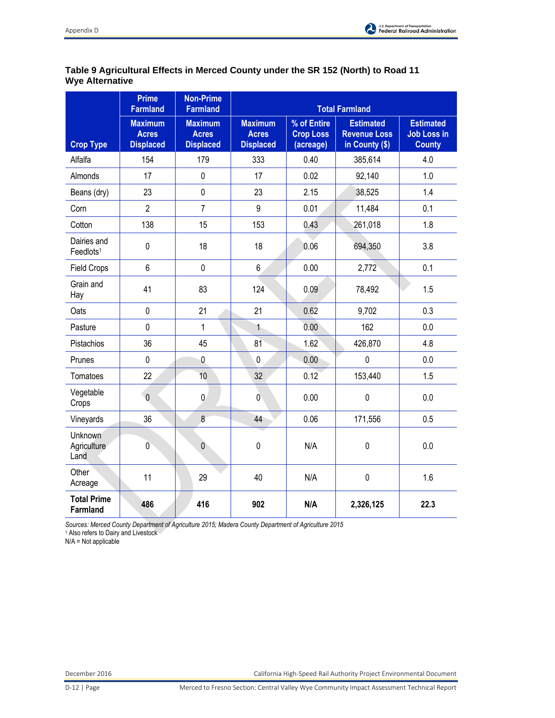

# **Table 9 Agricultural Effects in Merced County under the SR 152 (North) to Road 11 Wye Alternative**

|                                       | <b>Prime</b><br><b>Farmland</b>                    | <b>Non-Prime</b><br><b>Farmland</b>                |                                                    |                                              | <b>Total Farmland</b>                                     |                                                         |
|---------------------------------------|----------------------------------------------------|----------------------------------------------------|----------------------------------------------------|----------------------------------------------|-----------------------------------------------------------|---------------------------------------------------------|
| <b>Crop Type</b>                      | <b>Maximum</b><br><b>Acres</b><br><b>Displaced</b> | <b>Maximum</b><br><b>Acres</b><br><b>Displaced</b> | <b>Maximum</b><br><b>Acres</b><br><b>Displaced</b> | % of Entire<br><b>Crop Loss</b><br>(acreage) | <b>Estimated</b><br><b>Revenue Loss</b><br>in County (\$) | <b>Estimated</b><br><b>Job Loss in</b><br><b>County</b> |
| Alfalfa                               | 154                                                | 179                                                | 333                                                | 0.40                                         | 385,614                                                   | 4.0                                                     |
| Almonds                               | 17                                                 | $\pmb{0}$                                          | 17                                                 | 0.02                                         | 92,140                                                    | 1.0                                                     |
| Beans (dry)                           | 23                                                 | $\mathbf 0$                                        | 23                                                 | 2.15                                         | 38,525                                                    | 1.4                                                     |
| Corn                                  | $\overline{2}$                                     | $\overline{7}$                                     | 9                                                  | 0.01                                         | 11,484                                                    | 0.1                                                     |
| Cotton                                | 138                                                | 15                                                 | 153                                                | 0.43                                         | 261,018                                                   | 1.8                                                     |
| Dairies and<br>Feedlots <sup>1</sup>  | $\mathbf 0$                                        | 18                                                 | 18                                                 | 0.06                                         | 694,350                                                   | 3.8                                                     |
| <b>Field Crops</b>                    | 6                                                  | $\mathbf 0$                                        | 6                                                  | 0.00                                         | 2,772                                                     | 0.1                                                     |
| Grain and<br>Hay                      | 41                                                 | 83                                                 | 124                                                | 0.09                                         | 78,492                                                    | 1.5                                                     |
| Oats                                  | $\mathbf 0$                                        | 21                                                 | 21                                                 | 0.62                                         | 9,702                                                     | 0.3                                                     |
| Pasture                               | $\pmb{0}$                                          | $\mathbf{1}$                                       | $\mathbf{1}$                                       | 0.00                                         | 162                                                       | 0.0                                                     |
| Pistachios                            | 36                                                 | 45                                                 | 81                                                 | 1.62                                         | 426,870                                                   | 4.8                                                     |
| Prunes                                | $\mathbf 0$                                        | $\mathbf 0$                                        | $\mathbf{0}$                                       | 0.00                                         | $\mathbf{0}$                                              | 0.0                                                     |
| Tomatoes                              | 22                                                 | 10                                                 | 32                                                 | 0.12                                         | 153,440                                                   | 1.5                                                     |
| Vegetable<br>Crops                    | $\mathbf 0$                                        | $\mathbf 0$                                        | $\mathbf 0$                                        | 0.00                                         | $\pmb{0}$                                                 | 0.0                                                     |
| Vineyards                             | 36                                                 | 8                                                  | 44                                                 | 0.06                                         | 171,556                                                   | 0.5                                                     |
| <b>Unknown</b><br>Agriculture<br>Land | $\overline{0}$                                     | $\pmb{0}$                                          | $\pmb{0}$                                          | N/A                                          | $\pmb{0}$                                                 | 0.0                                                     |
| Other<br>Acreage                      | 11                                                 | 29                                                 | 40                                                 | N/A                                          | $\pmb{0}$                                                 | 1.6                                                     |
| <b>Total Prime</b><br><b>Farmland</b> | 486                                                | 416                                                | 902                                                | N/A                                          | 2,326,125                                                 | 22.3                                                    |

*Sources: Merced County Department of Agriculture 2015; Madera County Department of Agriculture 2015* 

1 Also refers to Dairy and Livestock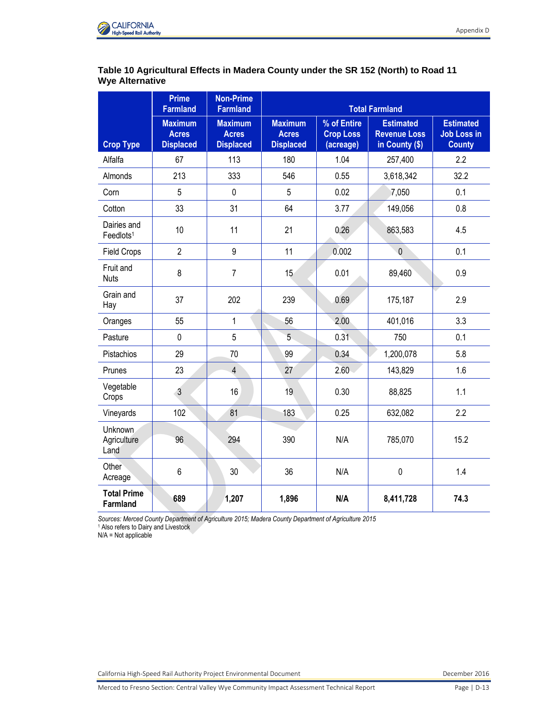

## **Table 10 Agricultural Effects in Madera County under the SR 152 (North) to Road 11 Wye Alternative**

|                                       | <b>Prime</b><br><b>Farmland</b>                    | <b>Non-Prime</b><br><b>Farmland</b>                | <b>Total Farmland</b>                              |                                              |                                                           |                                                         |
|---------------------------------------|----------------------------------------------------|----------------------------------------------------|----------------------------------------------------|----------------------------------------------|-----------------------------------------------------------|---------------------------------------------------------|
| <b>Crop Type</b>                      | <b>Maximum</b><br><b>Acres</b><br><b>Displaced</b> | <b>Maximum</b><br><b>Acres</b><br><b>Displaced</b> | <b>Maximum</b><br><b>Acres</b><br><b>Displaced</b> | % of Entire<br><b>Crop Loss</b><br>(acreage) | <b>Estimated</b><br><b>Revenue Loss</b><br>in County (\$) | <b>Estimated</b><br><b>Job Loss in</b><br><b>County</b> |
| Alfalfa                               | 67                                                 | 113                                                | 180                                                | 1.04                                         | 257,400                                                   | 2.2                                                     |
| Almonds                               | 213                                                | 333                                                | 546                                                | 0.55                                         | 3,618,342                                                 | 32.2                                                    |
| Corn                                  | 5                                                  | $\pmb{0}$                                          | 5                                                  | 0.02                                         | 7,050                                                     | 0.1                                                     |
| Cotton                                | 33                                                 | 31                                                 | 64                                                 | 3.77                                         | 149,056                                                   | 0.8                                                     |
| Dairies and<br>Feedlots <sup>1</sup>  | 10                                                 | 11                                                 | 21                                                 | 0.26                                         | 863,583                                                   | 4.5                                                     |
| <b>Field Crops</b>                    | $\overline{2}$                                     | 9                                                  | 11                                                 | 0.002                                        | $\mathbf 0$                                               | 0.1                                                     |
| Fruit and<br><b>Nuts</b>              | 8                                                  | $\overline{7}$                                     | 15                                                 | 0.01                                         | 89,460                                                    | 0.9                                                     |
| Grain and<br>Hay                      | 37                                                 | 202                                                | 239                                                | 0.69                                         | 175,187                                                   | 2.9                                                     |
| Oranges                               | 55                                                 | 1                                                  | 56                                                 | 2.00                                         | 401,016                                                   | 3.3                                                     |
| Pasture                               | $\mathbf 0$                                        | 5                                                  | 5                                                  | 0.31                                         | 750                                                       | 0.1                                                     |
| Pistachios                            | 29                                                 | 70                                                 | 99                                                 | 0.34                                         | 1,200,078                                                 | 5.8                                                     |
| Prunes                                | 23                                                 | $\overline{4}$                                     | 27                                                 | 2.60                                         | 143,829                                                   | 1.6                                                     |
| Vegetable<br>Crops                    | $\mathbf{3}$                                       | 16                                                 | 19                                                 | 0.30                                         | 88,825                                                    | 1.1                                                     |
| Vineyards                             | 102                                                | 81                                                 | 183                                                | 0.25                                         | 632,082                                                   | 2.2                                                     |
| Unknown<br>Agriculture<br>Land        | 96                                                 | 294                                                | 390                                                | N/A                                          | 785,070                                                   | 15.2                                                    |
| Other<br>Acreage                      | 6                                                  | 30                                                 | 36                                                 | N/A                                          | $\pmb{0}$                                                 | 1.4                                                     |
| <b>Total Prime</b><br><b>Farmland</b> | 689                                                | 1,207                                              | 1,896                                              | N/A                                          | 8,411,728                                                 | 74.3                                                    |

*Sources: Merced County Department of Agriculture 2015; Madera County Department of Agriculture 2015* 

1 Also refers to Dairy and Livestock